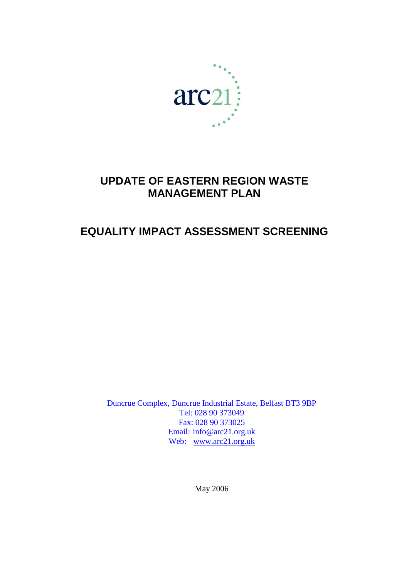

# **UPDATE OF EASTERN REGION WASTE MANAGEMENT PLAN**

# **EQUALITY IMPACT ASSESSMENT SCREENING**

Duncrue Complex, Duncrue Industrial Estate, Belfast BT3 9BP Tel: 028 90 373049 Fax: 028 90 373025 Email: info@arc21.org.uk Web: [www.arc21.org.uk](http://www.key-consulting-group.com/)

May 2006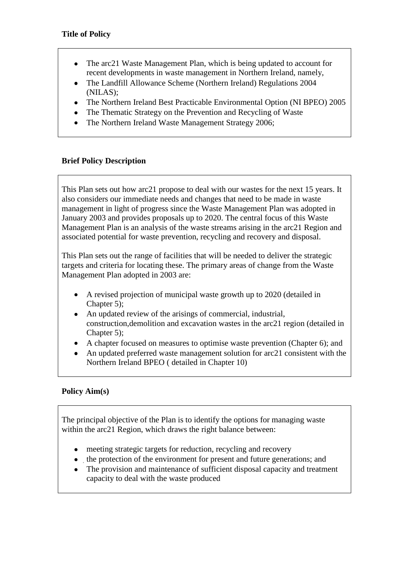- The arc21 Waste Management Plan, which is being updated to account for  $\bullet$ recent developments in waste management in Northern Ireland, namely,
- The Landfill Allowance Scheme (Northern Ireland) Regulations 2004 (NILAS);
- The Northern Ireland Best Practicable Environmental Option (NI BPEO) 2005
- The Thematic Strategy on the Prevention and Recycling of Waste
- The Northern Ireland Waste Management Strategy 2006;

## **Brief Policy Description**

This Plan sets out how arc21 propose to deal with our wastes for the next 15 years. It also considers our immediate needs and changes that need to be made in waste management in light of progress since the Waste Management Plan was adopted in January 2003 and provides proposals up to 2020. The central focus of this Waste Management Plan is an analysis of the waste streams arising in the arc21 Region and associated potential for waste prevention, recycling and recovery and disposal.

This Plan sets out the range of facilities that will be needed to deliver the strategic targets and criteria for locating these. The primary areas of change from the Waste Management Plan adopted in 2003 are:

- A revised projection of municipal waste growth up to 2020 (detailed in  $\bullet$ Chapter 5);
- An updated review of the arisings of commercial, industrial, construction,demolition and excavation wastes in the arc21 region (detailed in Chapter 5);
- A chapter focused on measures to optimise waste prevention (Chapter 6); and  $\bullet$
- An updated preferred waste management solution for arc21 consistent with the Northern Ireland BPEO ( detailed in Chapter 10)

## **Policy Aim(s)**

The principal objective of the Plan is to identify the options for managing waste within the arc21 Region, which draws the right balance between:

- meeting strategic targets for reduction, recycling and recovery  $\bullet$
- the protection of the environment for present and future generations; and
- The provision and maintenance of sufficient disposal capacity and treatment capacity to deal with the waste produced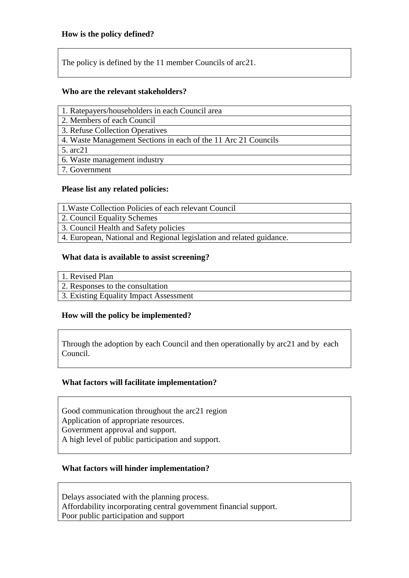The policy is defined by the 11 member Councils of arc21.

## **Who are the relevant stakeholders?**

| 1. Ratepayers/householders in each Council area |  |  |  |  |  |  |  |
|-------------------------------------------------|--|--|--|--|--|--|--|
|-------------------------------------------------|--|--|--|--|--|--|--|

2. Members of each Council

3. Refuse Collection Operatives

4. Waste Management Sections in each of the 11 Arc 21 Councils

5. arc21

6. Waste management industry

7. Government

## **Please list any related policies:**

1.Waste Collection Policies of each relevant Council

2. Council Equality Schemes

3. Council Health and Safety policies

4. European, National and Regional legislation and related guidance.

## **What data is available to assist screening?**

1. Revised Plan

- 2. Responses to the consultation
- 3. Existing Equality Impact Assessment

## **How will the policy be implemented?**

Through the adoption by each Council and then operationally by arc21 and by each Council.

## **What factors will facilitate implementation?**

Good communication throughout the arc21 region Application of appropriate resources. Government approval and support.

A high level of public participation and support.

## **What factors will hinder implementation?**

Delays associated with the planning process. Affordability incorporating central government financial support. Poor public participation and support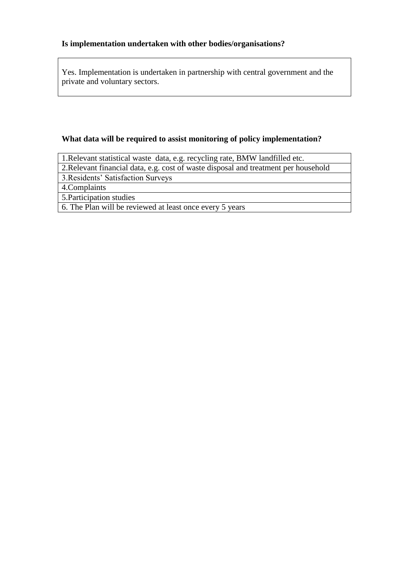## **Is implementation undertaken with other bodies/organisations?**

Yes. Implementation is undertaken in partnership with central government and the private and voluntary sectors.

## **What data will be required to assist monitoring of policy implementation?**

1.Relevant statistical waste data, e.g. recycling rate, BMW landfilled etc.

2.Relevant financial data, e.g. cost of waste disposal and treatment per household

3.Residents' Satisfaction Surveys

4.Complaints

5.Participation studies

6. The Plan will be reviewed at least once every 5 years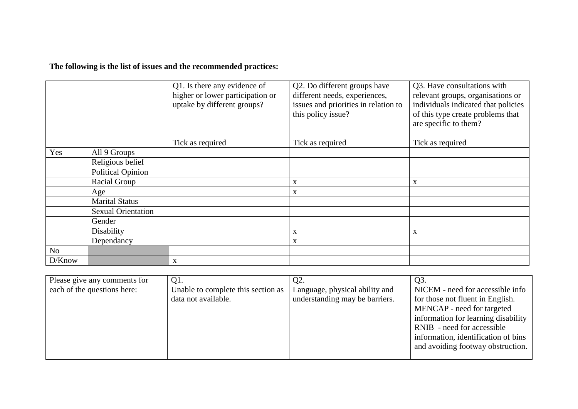## **The following is the list of issues and the recommended practices:**

|                |                           | Q1. Is there any evidence of<br>higher or lower participation or<br>uptake by different groups? | Q2. Do different groups have<br>different needs, experiences,<br>issues and priorities in relation to<br>this policy issue? | Q3. Have consultations with<br>relevant groups, organisations or<br>individuals indicated that policies<br>of this type create problems that<br>are specific to them? |
|----------------|---------------------------|-------------------------------------------------------------------------------------------------|-----------------------------------------------------------------------------------------------------------------------------|-----------------------------------------------------------------------------------------------------------------------------------------------------------------------|
|                |                           | Tick as required                                                                                | Tick as required                                                                                                            | Tick as required                                                                                                                                                      |
| Yes            | All 9 Groups              |                                                                                                 |                                                                                                                             |                                                                                                                                                                       |
|                | Religious belief          |                                                                                                 |                                                                                                                             |                                                                                                                                                                       |
|                | <b>Political Opinion</b>  |                                                                                                 |                                                                                                                             |                                                                                                                                                                       |
|                | Racial Group              |                                                                                                 | X                                                                                                                           | X                                                                                                                                                                     |
|                | Age                       |                                                                                                 | X                                                                                                                           |                                                                                                                                                                       |
|                | <b>Marital Status</b>     |                                                                                                 |                                                                                                                             |                                                                                                                                                                       |
|                | <b>Sexual Orientation</b> |                                                                                                 |                                                                                                                             |                                                                                                                                                                       |
|                | Gender                    |                                                                                                 |                                                                                                                             |                                                                                                                                                                       |
|                | Disability                |                                                                                                 | X                                                                                                                           | X                                                                                                                                                                     |
|                | Dependancy                |                                                                                                 | X                                                                                                                           |                                                                                                                                                                       |
| N <sub>o</sub> |                           |                                                                                                 |                                                                                                                             |                                                                                                                                                                       |
| D/Know         |                           | $\mathbf X$                                                                                     |                                                                                                                             |                                                                                                                                                                       |

| Please give any comments for | Q1.                                | Q2.                            | Q3.                                 |
|------------------------------|------------------------------------|--------------------------------|-------------------------------------|
| each of the questions here:  | Unable to complete this section as | Language, physical ability and | NICEM - need for accessible info    |
|                              | data not available.                | understanding may be barriers. | for those not fluent in English.    |
|                              |                                    |                                | MENCAP - need for targeted          |
|                              |                                    |                                | information for learning disability |
|                              |                                    |                                | RNIB - need for accessible          |
|                              |                                    |                                | information, identification of bins |
|                              |                                    |                                | and avoiding footway obstruction.   |
|                              |                                    |                                |                                     |